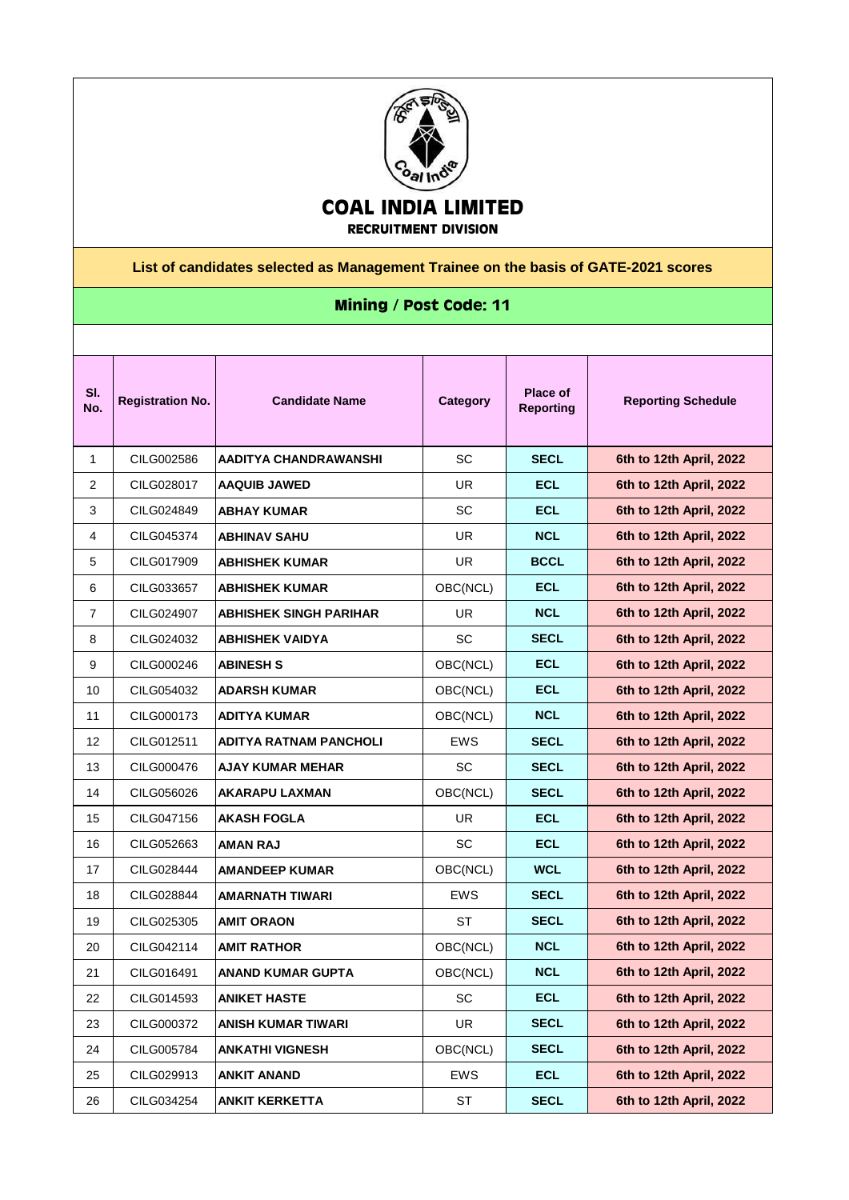

**RECRUITMENT DIVISION**

## **List of candidates selected as Management Trainee on the basis of GATE-2021 scores**

## **Mining / Post Code: 11**

| SI.<br>No.     | <b>Registration No.</b> | <b>Candidate Name</b>     | Category   | Place of<br><b>Reporting</b> | <b>Reporting Schedule</b> |
|----------------|-------------------------|---------------------------|------------|------------------------------|---------------------------|
| 1              | CILG002586              | AADITYA CHANDRAWANSHI     | <b>SC</b>  | <b>SECL</b>                  | 6th to 12th April, 2022   |
| $\overline{2}$ | CILG028017              | <b>AAQUIB JAWED</b>       | UR.        | <b>ECL</b>                   | 6th to 12th April, 2022   |
| 3              | CILG024849              | <b>ABHAY KUMAR</b>        | SC         | <b>ECL</b>                   | 6th to 12th April, 2022   |
| 4              | CILG045374              | <b>ABHINAV SAHU</b>       | UR.        | <b>NCL</b>                   | 6th to 12th April, 2022   |
| 5              | CILG017909              | <b>ABHISHEK KUMAR</b>     | UR.        | <b>BCCL</b>                  | 6th to 12th April, 2022   |
| 6              | CILG033657              | <b>ABHISHEK KUMAR</b>     | OBC(NCL)   | <b>ECL</b>                   | 6th to 12th April, 2022   |
| $\overline{7}$ | CILG024907              | ABHISHEK SINGH PARIHAR    | UR         | <b>NCL</b>                   | 6th to 12th April, 2022   |
| 8              | CILG024032              | ABHISHEK VAIDYA           | <b>SC</b>  | <b>SECL</b>                  | 6th to 12th April, 2022   |
| 9              | CILG000246              | <b>ABINESH S</b>          | OBC(NCL)   | <b>ECL</b>                   | 6th to 12th April, 2022   |
| 10             | CILG054032              | <b>ADARSH KUMAR</b>       | OBC(NCL)   | <b>ECL</b>                   | 6th to 12th April, 2022   |
| 11             | CILG000173              | ADITYA KUMAR              | OBC(NCL)   | <b>NCL</b>                   | 6th to 12th April, 2022   |
| 12             | CILG012511              | ADITYA RATNAM PANCHOLI    | <b>EWS</b> | <b>SECL</b>                  | 6th to 12th April, 2022   |
| 13             | CILG000476              | AJAY KUMAR MEHAR          | <b>SC</b>  | <b>SECL</b>                  | 6th to 12th April, 2022   |
| 14             | CILG056026              | AKARAPU LAXMAN            | OBC(NCL)   | <b>SECL</b>                  | 6th to 12th April, 2022   |
| 15             | CILG047156              | AKASH FOGLA               | <b>UR</b>  | <b>ECL</b>                   | 6th to 12th April, 2022   |
| 16             | CILG052663              | <b>AMAN RAJ</b>           | <b>SC</b>  | <b>ECL</b>                   | 6th to 12th April, 2022   |
| 17             | CILG028444              | AMANDEEP KUMAR            | OBC(NCL)   | <b>WCL</b>                   | 6th to 12th April, 2022   |
| 18             | CILG028844              | AMARNATH TIWARI           | <b>EWS</b> | <b>SECL</b>                  | 6th to 12th April, 2022   |
| 19             | CILG025305              | <b>AMIT ORAON</b>         | <b>ST</b>  | <b>SECL</b>                  | 6th to 12th April, 2022   |
| 20             | CILG042114              | <b>AMIT RATHOR</b>        | OBC(NCL)   | <b>NCL</b>                   | 6th to 12th April, 2022   |
| 21             | CILG016491              | ANAND KUMAR GUPTA         | OBC(NCL)   | <b>NCL</b>                   | 6th to 12th April, 2022   |
| 22             | CILG014593              | <b>ANIKET HASTE</b>       | SC         | <b>ECL</b>                   | 6th to 12th April, 2022   |
| 23             | CILG000372              | <b>ANISH KUMAR TIWARI</b> | UR         | <b>SECL</b>                  | 6th to 12th April, 2022   |
| 24             | CILG005784              | <b>ANKATHI VIGNESH</b>    | OBC(NCL)   | <b>SECL</b>                  | 6th to 12th April, 2022   |
| 25             | CILG029913              | <b>ANKIT ANAND</b>        | EWS        | <b>ECL</b>                   | 6th to 12th April, 2022   |
| 26             | CILG034254              | <b>ANKIT KERKETTA</b>     | ST         | <b>SECL</b>                  | 6th to 12th April, 2022   |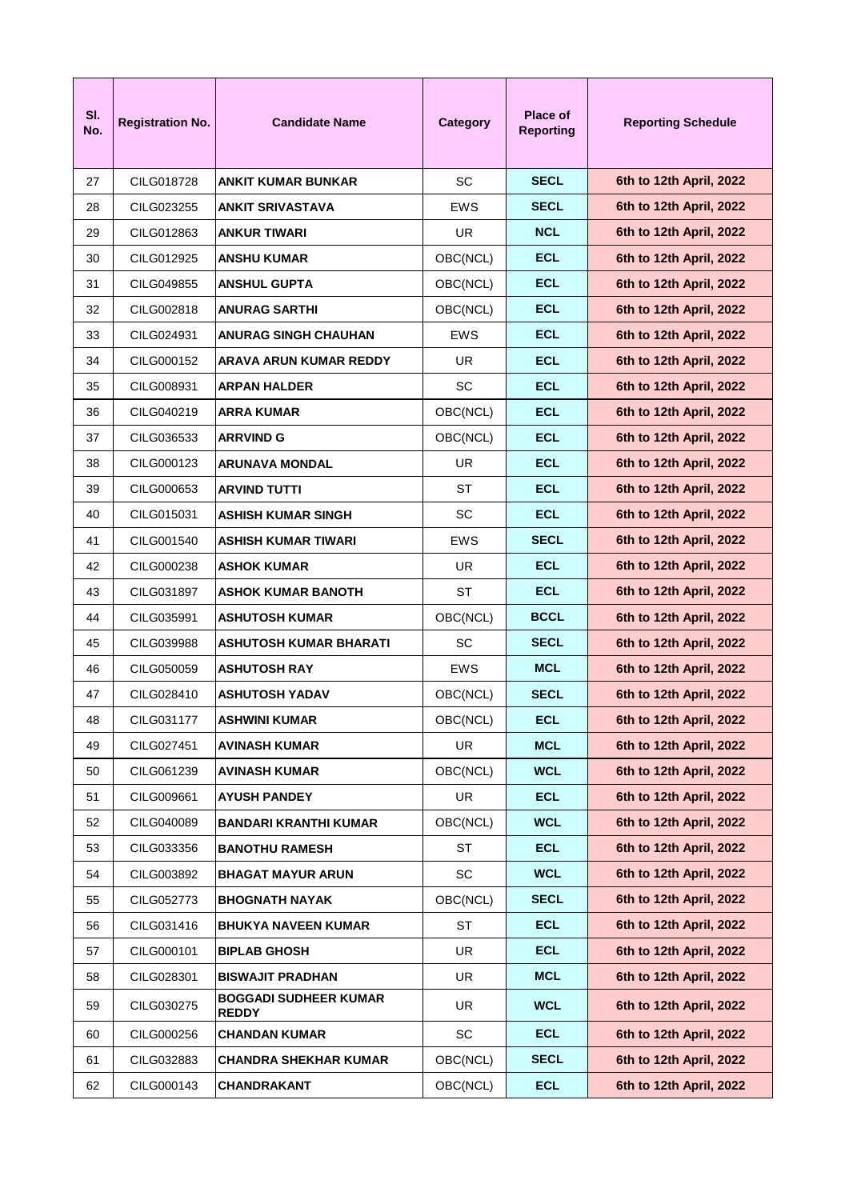| SI.<br>No. | <b>Registration No.</b> | <b>Candidate Name</b>                        | Category   | Place of<br><b>Reporting</b> | <b>Reporting Schedule</b> |
|------------|-------------------------|----------------------------------------------|------------|------------------------------|---------------------------|
| 27         | CILG018728              | <b>ANKIT KUMAR BUNKAR</b>                    | <b>SC</b>  | <b>SECL</b>                  | 6th to 12th April, 2022   |
| 28         | CILG023255              | ANKIT SRIVASTAVA                             | EWS        | <b>SECL</b>                  | 6th to 12th April, 2022   |
| 29         | CILG012863              | ANKUR TIWARI                                 | <b>UR</b>  | <b>NCL</b>                   | 6th to 12th April, 2022   |
| 30         | CILG012925              | ANSHU KUMAR                                  | OBC(NCL)   | <b>ECL</b>                   | 6th to 12th April, 2022   |
| 31         | CILG049855              | ANSHUL GUPTA                                 | OBC(NCL)   | <b>ECL</b>                   | 6th to 12th April, 2022   |
| 32         | CILG002818              | ANURAG SARTHI                                | OBC(NCL)   | <b>ECL</b>                   | 6th to 12th April, 2022   |
| 33         | CILG024931              | ANURAG SINGH CHAUHAN                         | <b>EWS</b> | <b>ECL</b>                   | 6th to 12th April, 2022   |
| 34         | CILG000152              | ARAVA ARUN KUMAR REDDY                       | UR.        | <b>ECL</b>                   | 6th to 12th April, 2022   |
| 35         | CILG008931              | ARPAN HALDER                                 | SC.        | <b>ECL</b>                   | 6th to 12th April, 2022   |
| 36         | CILG040219              | ARRA KUMAR                                   | OBC(NCL)   | <b>ECL</b>                   | 6th to 12th April, 2022   |
| 37         | CILG036533              | ARRVIND G                                    | OBC(NCL)   | <b>ECL</b>                   | 6th to 12th April, 2022   |
| 38         | CILG000123              | ARUNAVA MONDAL                               | UR.        | <b>ECL</b>                   | 6th to 12th April, 2022   |
| 39         | CILG000653              | ARVIND TUTTI                                 | ST         | <b>ECL</b>                   | 6th to 12th April, 2022   |
| 40         | CILG015031              | ASHISH KUMAR SINGH                           | SC         | <b>ECL</b>                   | 6th to 12th April, 2022   |
| 41         | CILG001540              | ASHISH KUMAR TIWARI                          | EWS        | <b>SECL</b>                  | 6th to 12th April, 2022   |
| 42         | CILG000238              | ASHOK KUMAR                                  | UR.        | <b>ECL</b>                   | 6th to 12th April, 2022   |
| 43         | CILG031897              | ASHOK KUMAR BANOTH                           | ST         | <b>ECL</b>                   | 6th to 12th April, 2022   |
| 44         | CILG035991              | ASHUTOSH KUMAR                               | OBC(NCL)   | <b>BCCL</b>                  | 6th to 12th April, 2022   |
| 45         | CILG039988              | ASHUTOSH KUMAR BHARATI                       | SC.        | <b>SECL</b>                  | 6th to 12th April, 2022   |
| 46         | CILG050059              | ASHUTOSH RAY                                 | EWS        | <b>MCL</b>                   | 6th to 12th April, 2022   |
| 47         | CILG028410              | ASHUTOSH YADAV                               | OBC(NCL)   | <b>SECL</b>                  | 6th to 12th April, 2022   |
| 48         | CILG031177              | <b>ASHWINI KUMAR</b>                         | OBC(NCL)   | <b>ECL</b>                   | 6th to 12th April, 2022   |
| 49         | CILG027451              | AVINASH KUMAR                                | UR.        | <b>MCL</b>                   | 6th to 12th April, 2022   |
| 50         | CILG061239              | AVINASH KUMAR                                | OBC(NCL)   | <b>WCL</b>                   | 6th to 12th April, 2022   |
| 51         | CILG009661              | <b>AYUSH PANDEY</b>                          | UR.        | <b>ECL</b>                   | 6th to 12th April, 2022   |
| 52         | CILG040089              | <b>BANDARI KRANTHI KUMAR</b>                 | OBC(NCL)   | <b>WCL</b>                   | 6th to 12th April, 2022   |
| 53         | CILG033356              | <b>BANOTHU RAMESH</b>                        | ST         | <b>ECL</b>                   | 6th to 12th April, 2022   |
| 54         | CILG003892              | <b>BHAGAT MAYUR ARUN</b>                     | SC         | <b>WCL</b>                   | 6th to 12th April, 2022   |
| 55         | CILG052773              | <b>BHOGNATH NAYAK</b>                        | OBC(NCL)   | <b>SECL</b>                  | 6th to 12th April, 2022   |
| 56         | CILG031416              | <b>BHUKYA NAVEEN KUMAR</b>                   | <b>ST</b>  | <b>ECL</b>                   | 6th to 12th April, 2022   |
| 57         | CILG000101              | <b>BIPLAB GHOSH</b>                          | <b>UR</b>  | <b>ECL</b>                   | 6th to 12th April, 2022   |
| 58         | CILG028301              | <b>BISWAJIT PRADHAN</b>                      | UR.        | <b>MCL</b>                   | 6th to 12th April, 2022   |
| 59         | CILG030275              | <b>BOGGADI SUDHEER KUMAR</b><br><b>REDDY</b> | UR         | <b>WCL</b>                   | 6th to 12th April, 2022   |
| 60         | CILG000256              | <b>CHANDAN KUMAR</b>                         | SC         | <b>ECL</b>                   | 6th to 12th April, 2022   |
| 61         | CILG032883              | <b>CHANDRA SHEKHAR KUMAR</b>                 | OBC(NCL)   | <b>SECL</b>                  | 6th to 12th April, 2022   |
| 62         | CILG000143              | CHANDRAKANT                                  | OBC(NCL)   | <b>ECL</b>                   | 6th to 12th April, 2022   |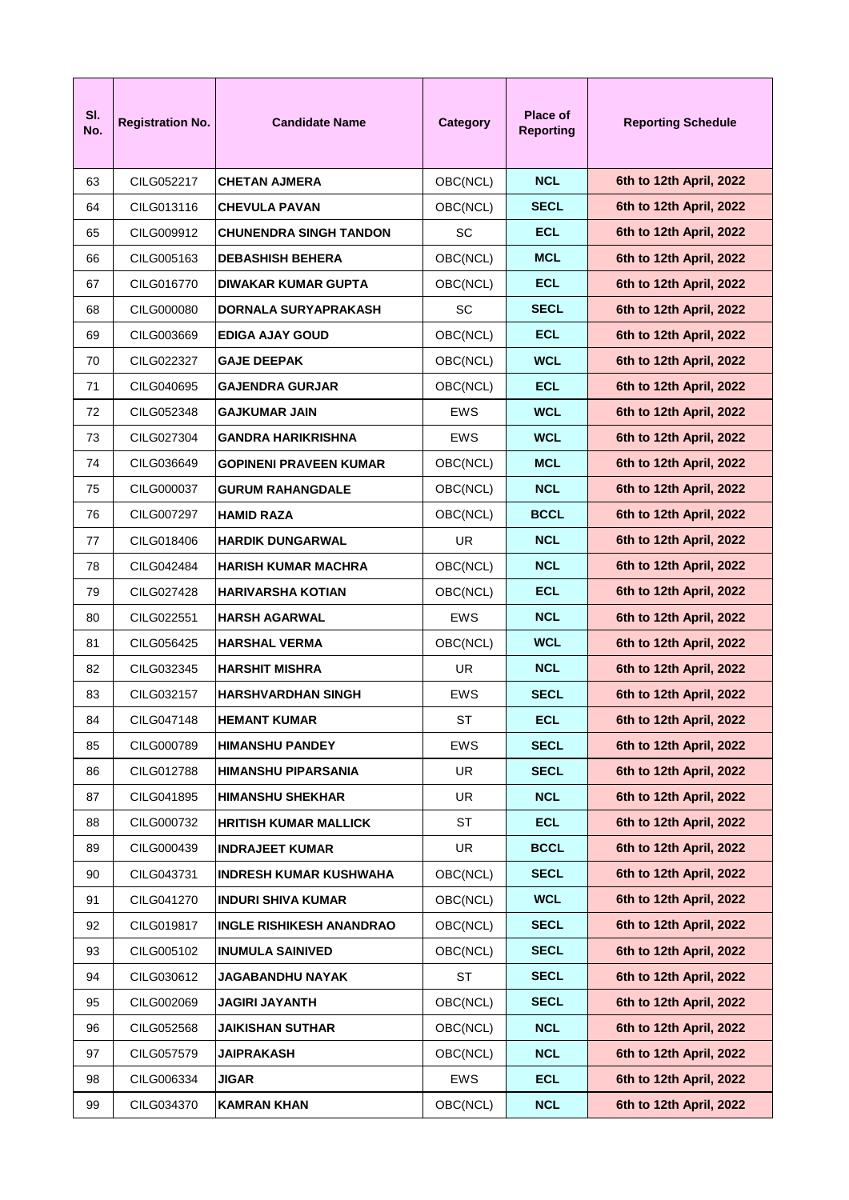| SI.<br>No. | <b>Registration No.</b> | <b>Candidate Name</b>         | Category   | <b>Place of</b><br><b>Reporting</b> | <b>Reporting Schedule</b> |
|------------|-------------------------|-------------------------------|------------|-------------------------------------|---------------------------|
| 63         | CILG052217              | <b>CHETAN AJMERA</b>          | OBC(NCL)   | <b>NCL</b>                          | 6th to 12th April, 2022   |
| 64         | CILG013116              | CHEVULA PAVAN                 | OBC(NCL)   | <b>SECL</b>                         | 6th to 12th April, 2022   |
| 65         | CILG009912              | CHUNENDRA SINGH TANDON        | <b>SC</b>  | <b>ECL</b>                          | 6th to 12th April, 2022   |
| 66         | CILG005163              | <b>DEBASHISH BEHERA</b>       | OBC(NCL)   | <b>MCL</b>                          | 6th to 12th April, 2022   |
| 67         | CILG016770              | DIWAKAR KUMAR GUPTA           | OBC(NCL)   | <b>ECL</b>                          | 6th to 12th April, 2022   |
| 68         | CILG000080              | DORNALA SURYAPRAKASH          | SC         | <b>SECL</b>                         | 6th to 12th April, 2022   |
| 69         | CILG003669              | EDIGA AJAY GOUD               | OBC(NCL)   | <b>ECL</b>                          | 6th to 12th April, 2022   |
| 70         | CILG022327              | <b>GAJE DEEPAK</b>            | OBC(NCL)   | <b>WCL</b>                          | 6th to 12th April, 2022   |
| 71         | CILG040695              | GAJENDRA GURJAR               | OBC(NCL)   | <b>ECL</b>                          | 6th to 12th April, 2022   |
| 72         | CILG052348              | <b>GAJKUMAR JAIN</b>          | EWS        | <b>WCL</b>                          | 6th to 12th April, 2022   |
| 73         | CILG027304              | GANDRA HARIKRISHNA            | EWS        | <b>WCL</b>                          | 6th to 12th April, 2022   |
| 74         | CILG036649              | GOPINENI PRAVEEN KUMAR        | OBC(NCL)   | <b>MCL</b>                          | 6th to 12th April, 2022   |
| 75         | CILG000037              | <b>GURUM RAHANGDALE</b>       | OBC(NCL)   | <b>NCL</b>                          | 6th to 12th April, 2022   |
| 76         | CILG007297              | HAMID RAZA                    | OBC(NCL)   | <b>BCCL</b>                         | 6th to 12th April, 2022   |
| 77         | CILG018406              | <b>HARDIK DUNGARWAL</b>       | UR.        | <b>NCL</b>                          | 6th to 12th April, 2022   |
| 78         | CILG042484              | HARISH KUMAR MACHRA           | OBC(NCL)   | <b>NCL</b>                          | 6th to 12th April, 2022   |
| 79         | CILG027428              | HARIVARSHA KOTIAN             | OBC(NCL)   | <b>ECL</b>                          | 6th to 12th April, 2022   |
| 80         | CILG022551              | <b>HARSH AGARWAL</b>          | EWS        | <b>NCL</b>                          | 6th to 12th April, 2022   |
| 81         | CILG056425              | <b>HARSHAL VERMA</b>          | OBC(NCL)   | <b>WCL</b>                          | 6th to 12th April, 2022   |
| 82         | CILG032345              | <b>HARSHIT MISHRA</b>         | UR         | <b>NCL</b>                          | 6th to 12th April, 2022   |
| 83         | CILG032157              | HARSHVARDHAN SINGH            | EWS        | <b>SECL</b>                         | 6th to 12th April, 2022   |
| 84         | CILG047148              | <b>HEMANT KUMAR</b>           | <b>ST</b>  | <b>ECL</b>                          | 6th to 12th April, 2022   |
| 85         | CILG000789              | HIMANSHU PANDEY               | <b>EWS</b> | <b>SECL</b>                         | 6th to 12th April, 2022   |
| 86         | CILG012788              | HIMANSHU PIPARSANIA           | UR         | <b>SECL</b>                         | 6th to 12th April, 2022   |
| 87         | CILG041895              | <b>HIMANSHU SHEKHAR</b>       | UR         | <b>NCL</b>                          | 6th to 12th April, 2022   |
| 88         | CILG000732              | <b>HRITISH KUMAR MALLICK</b>  | <b>ST</b>  | <b>ECL</b>                          | 6th to 12th April, 2022   |
| 89         | CILG000439              | <b>INDRAJEET KUMAR</b>        | <b>UR</b>  | <b>BCCL</b>                         | 6th to 12th April, 2022   |
| 90         | CILG043731              | <b>INDRESH KUMAR KUSHWAHA</b> | OBC(NCL)   | <b>SECL</b>                         | 6th to 12th April, 2022   |
| 91         | CILG041270              | <b>INDURI SHIVA KUMAR</b>     | OBC(NCL)   | <b>WCL</b>                          | 6th to 12th April, 2022   |
| 92         | CILG019817              | INGLE RISHIKESH ANANDRAO      | OBC(NCL)   | <b>SECL</b>                         | 6th to 12th April, 2022   |
| 93         | CILG005102              | <b>INUMULA SAINIVED</b>       | OBC(NCL)   | <b>SECL</b>                         | 6th to 12th April, 2022   |
| 94         | CILG030612              | <b>JAGABANDHU NAYAK</b>       | ST         | <b>SECL</b>                         | 6th to 12th April, 2022   |
| 95         | CILG002069              | <b>JAGIRI JAYANTH</b>         | OBC(NCL)   | <b>SECL</b>                         | 6th to 12th April, 2022   |
| 96         | CILG052568              | <b>JAIKISHAN SUTHAR</b>       | OBC(NCL)   | <b>NCL</b>                          | 6th to 12th April, 2022   |
| 97         | CILG057579              | JAIPRAKASH                    | OBC(NCL)   | <b>NCL</b>                          | 6th to 12th April, 2022   |
| 98         | CILG006334              | <b>JIGAR</b>                  | EWS        | <b>ECL</b>                          | 6th to 12th April, 2022   |
| 99         | CILG034370              | <b>KAMRAN KHAN</b>            | OBC(NCL)   | <b>NCL</b>                          | 6th to 12th April, 2022   |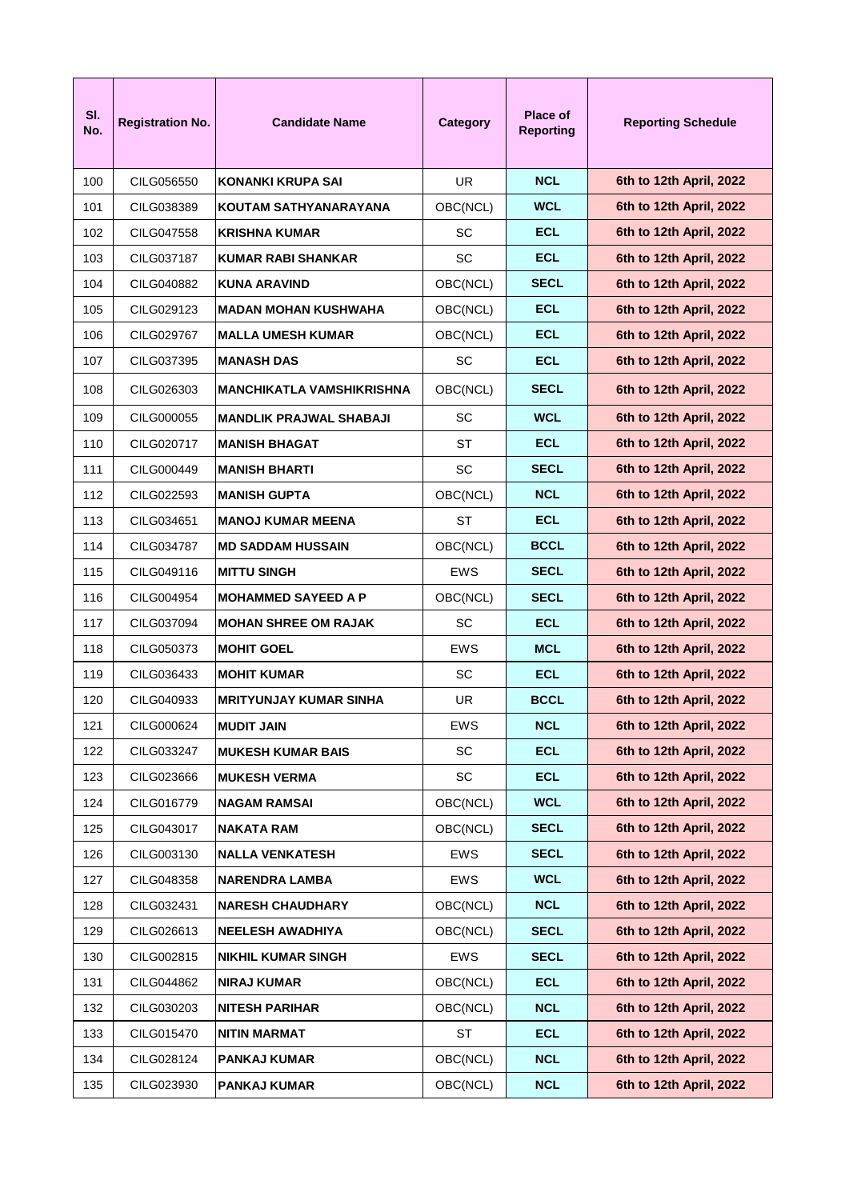| SI.<br>No. | <b>Registration No.</b> | <b>Candidate Name</b>            | Category   | Place of<br><b>Reporting</b> | <b>Reporting Schedule</b> |
|------------|-------------------------|----------------------------------|------------|------------------------------|---------------------------|
| 100        | CILG056550              | <b>KONANKI KRUPA SAI</b>         | UR.        | <b>NCL</b>                   | 6th to 12th April, 2022   |
| 101        | CILG038389              | KOUTAM SATHYANARAYANA            | OBC(NCL)   | <b>WCL</b>                   | 6th to 12th April, 2022   |
| 102        | CILG047558              | <b>KRISHNA KUMAR</b>             | SC         | <b>ECL</b>                   | 6th to 12th April, 2022   |
| 103        | CILG037187              | KUMAR RABI SHANKAR               | SC         | <b>ECL</b>                   | 6th to 12th April, 2022   |
| 104        | CILG040882              | <b>KUNA ARAVIND</b>              | OBC(NCL)   | <b>SECL</b>                  | 6th to 12th April, 2022   |
| 105        | CILG029123              | MADAN MOHAN KUSHWAHA             | OBC(NCL)   | <b>ECL</b>                   | 6th to 12th April, 2022   |
| 106        | CILG029767              | <b>MALLA UMESH KUMAR</b>         | OBC(NCL)   | <b>ECL</b>                   | 6th to 12th April, 2022   |
| 107        | CILG037395              | <b>MANASH DAS</b>                | SC         | <b>ECL</b>                   | 6th to 12th April, 2022   |
| 108        | CILG026303              | <b>MANCHIKATLA VAMSHIKRISHNA</b> | OBC(NCL)   | <b>SECL</b>                  | 6th to 12th April, 2022   |
| 109        | CILG000055              | <b>MANDLIK PRAJWAL SHABAJI</b>   | <b>SC</b>  | <b>WCL</b>                   | 6th to 12th April, 2022   |
| 110        | CILG020717              | <b>MANISH BHAGAT</b>             | SТ         | <b>ECL</b>                   | 6th to 12th April, 2022   |
| 111        | CILG000449              | <b>MANISH BHARTI</b>             | <b>SC</b>  | <b>SECL</b>                  | 6th to 12th April, 2022   |
| 112        | CILG022593              | <b>MANISH GUPTA</b>              | OBC(NCL)   | <b>NCL</b>                   | 6th to 12th April, 2022   |
| 113        | CILG034651              | <b>MANOJ KUMAR MEENA</b>         | SТ         | <b>ECL</b>                   | 6th to 12th April, 2022   |
| 114        | CILG034787              | <b>MD SADDAM HUSSAIN</b>         | OBC(NCL)   | <b>BCCL</b>                  | 6th to 12th April, 2022   |
| 115        | CILG049116              | <b>MITTU SINGH</b>               | EWS        | <b>SECL</b>                  | 6th to 12th April, 2022   |
| 116        | CILG004954              | <b>MOHAMMED SAYEED A P</b>       | OBC(NCL)   | <b>SECL</b>                  | 6th to 12th April, 2022   |
| 117        | CILG037094              | <b>MOHAN SHREE OM RAJAK</b>      | <b>SC</b>  | <b>ECL</b>                   | 6th to 12th April, 2022   |
| 118        | CILG050373              | <b>MOHIT GOEL</b>                | EWS        | <b>MCL</b>                   | 6th to 12th April, 2022   |
| 119        | CILG036433              | <b>MOHIT KUMAR</b>               | <b>SC</b>  | <b>ECL</b>                   | 6th to 12th April, 2022   |
| 120        | CILG040933              | <b>MRITYUNJAY KUMAR SINHA</b>    | UR         | <b>BCCL</b>                  | 6th to 12th April, 2022   |
| 121        | CILG000624              | <b>MUDIT JAIN</b>                | <b>EWS</b> | <b>NCL</b>                   | 6th to 12th April, 2022   |
| 122        | CILG033247              | <b>MUKESH KUMAR BAIS</b>         | SC         | <b>ECL</b>                   | 6th to 12th April, 2022   |
| 123        | CILG023666              | <b>MUKESH VERMA</b>              | SC         | <b>ECL</b>                   | 6th to 12th April, 2022   |
| 124        | CILG016779              | <b>NAGAM RAMSAI</b>              | OBC(NCL)   | <b>WCL</b>                   | 6th to 12th April, 2022   |
| 125        | CILG043017              | <b>NAKATA RAM</b>                | OBC(NCL)   | <b>SECL</b>                  | 6th to 12th April, 2022   |
| 126        | CILG003130              | <b>NALLA VENKATESH</b>           | EWS        | <b>SECL</b>                  | 6th to 12th April, 2022   |
| 127        | CILG048358              | NARENDRA LAMBA                   | EWS        | <b>WCL</b>                   | 6th to 12th April, 2022   |
| 128        | CILG032431              | <b>NARESH CHAUDHARY</b>          | OBC(NCL)   | <b>NCL</b>                   | 6th to 12th April, 2022   |
| 129        | CILG026613              | <b>NEELESH AWADHIYA</b>          | OBC(NCL)   | <b>SECL</b>                  | 6th to 12th April, 2022   |
| 130        | CILG002815              | <b>NIKHIL KUMAR SINGH</b>        | EWS        | <b>SECL</b>                  | 6th to 12th April, 2022   |
| 131        | CILG044862              | <b>NIRAJ KUMAR</b>               | OBC(NCL)   | <b>ECL</b>                   | 6th to 12th April, 2022   |
| 132        | CILG030203              | <b>NITESH PARIHAR</b>            | OBC(NCL)   | <b>NCL</b>                   | 6th to 12th April, 2022   |
| 133        | CILG015470              | <b>NITIN MARMAT</b>              | <b>ST</b>  | <b>ECL</b>                   | 6th to 12th April, 2022   |
| 134        | CILG028124              | PANKAJ KUMAR                     | OBC(NCL)   | <b>NCL</b>                   | 6th to 12th April, 2022   |
| 135        | CILG023930              | <b>PANKAJ KUMAR</b>              | OBC(NCL)   | <b>NCL</b>                   | 6th to 12th April, 2022   |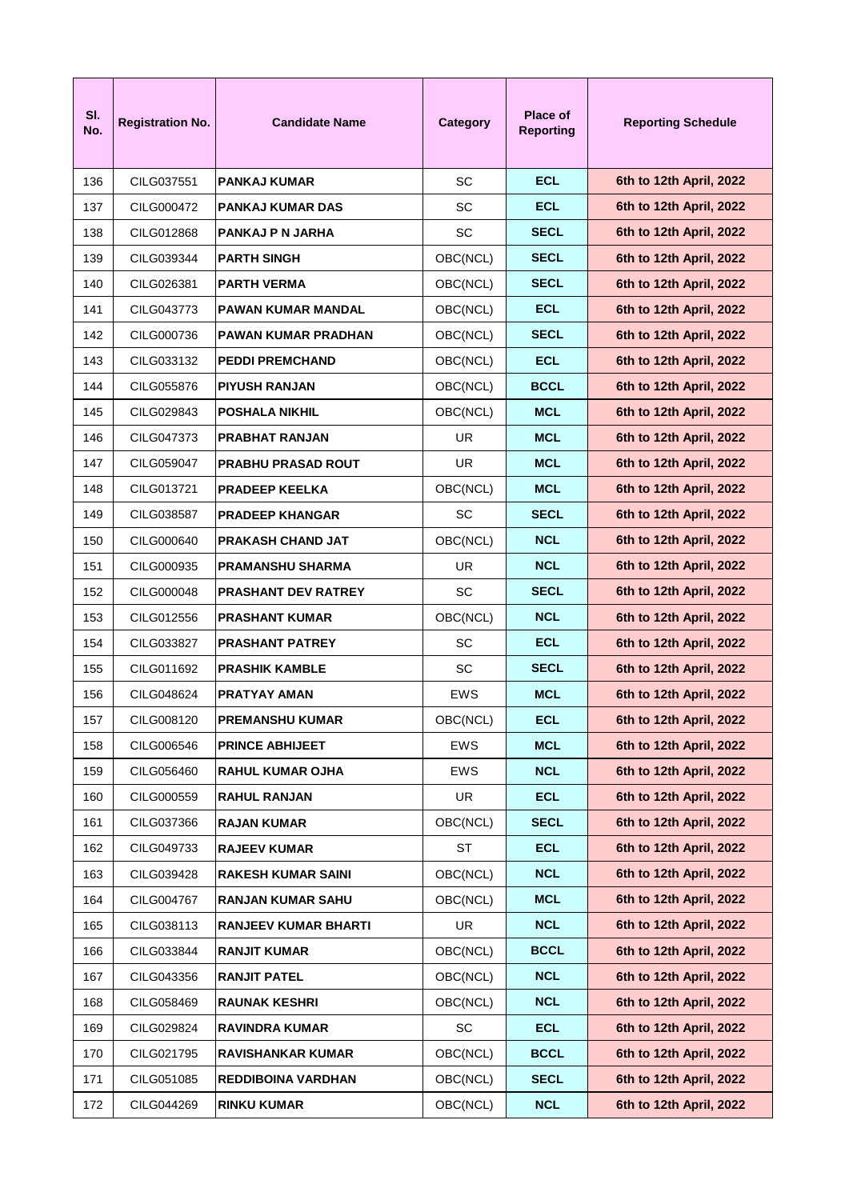| SI.<br>No. | <b>Registration No.</b> | <b>Candidate Name</b>       | Category   | <b>Place of</b><br><b>Reporting</b> | <b>Reporting Schedule</b> |
|------------|-------------------------|-----------------------------|------------|-------------------------------------|---------------------------|
| 136        | CILG037551              | <b>PANKAJ KUMAR</b>         | <b>SC</b>  | <b>ECL</b>                          | 6th to 12th April, 2022   |
| 137        | CILG000472              | PANKAJ KUMAR DAS            | SC         | <b>ECL</b>                          | 6th to 12th April, 2022   |
| 138        | CILG012868              | PANKAJ P N JARHA            | <b>SC</b>  | <b>SECL</b>                         | 6th to 12th April, 2022   |
| 139        | CILG039344              | <b>PARTH SINGH</b>          | OBC(NCL)   | <b>SECL</b>                         | 6th to 12th April, 2022   |
| 140        | CILG026381              | <b>PARTH VERMA</b>          | OBC(NCL)   | <b>SECL</b>                         | 6th to 12th April, 2022   |
| 141        | CILG043773              | PAWAN KUMAR MANDAL          | OBC(NCL)   | ECL.                                | 6th to 12th April, 2022   |
| 142        | CILG000736              | PAWAN KUMAR PRADHAN         | OBC(NCL)   | <b>SECL</b>                         | 6th to 12th April, 2022   |
| 143        | CILG033132              | <b>PEDDI PREMCHAND</b>      | OBC(NCL)   | <b>ECL</b>                          | 6th to 12th April, 2022   |
| 144        | CILG055876              | <b>PIYUSH RANJAN</b>        | OBC(NCL)   | <b>BCCL</b>                         | 6th to 12th April, 2022   |
| 145        | CILG029843              | POSHALA NIKHIL              | OBC(NCL)   | <b>MCL</b>                          | 6th to 12th April, 2022   |
| 146        | CILG047373              | PRABHAT RANJAN              | UR.        | <b>MCL</b>                          | 6th to 12th April, 2022   |
| 147        | CILG059047              | <b>PRABHU PRASAD ROUT</b>   | UR         | <b>MCL</b>                          | 6th to 12th April, 2022   |
| 148        | CILG013721              | <b>PRADEEP KEELKA</b>       | OBC(NCL)   | <b>MCL</b>                          | 6th to 12th April, 2022   |
| 149        | CILG038587              | <b>PRADEEP KHANGAR</b>      | <b>SC</b>  | <b>SECL</b>                         | 6th to 12th April, 2022   |
| 150        | CILG000640              | <b>PRAKASH CHAND JAT</b>    | OBC(NCL)   | <b>NCL</b>                          | 6th to 12th April, 2022   |
| 151        | CILG000935              | PRAMANSHU SHARMA            | UR         | <b>NCL</b>                          | 6th to 12th April, 2022   |
| 152        | CILG000048              | <b>PRASHANT DEV RATREY</b>  | <b>SC</b>  | <b>SECL</b>                         | 6th to 12th April, 2022   |
| 153        | CILG012556              | <b>PRASHANT KUMAR</b>       | OBC(NCL)   | <b>NCL</b>                          | 6th to 12th April, 2022   |
| 154        | CILG033827              | <b>PRASHANT PATREY</b>      | <b>SC</b>  | ECL.                                | 6th to 12th April, 2022   |
| 155        | CILG011692              | <b>PRASHIK KAMBLE</b>       | SC         | <b>SECL</b>                         | 6th to 12th April, 2022   |
| 156        | CILG048624              | <b>PRATYAY AMAN</b>         | EWS        | <b>MCL</b>                          | 6th to 12th April, 2022   |
| 157        | CILG008120              | PREMANSHU KUMAR             | OBC(NCL)   | <b>ECL</b>                          | 6th to 12th April, 2022   |
| 158        | CILG006546              | <b>PRINCE ABHIJEET</b>      | <b>EWS</b> | <b>MCL</b>                          | 6th to 12th April, 2022   |
| 159        | CILG056460              | <b>RAHUL KUMAR OJHA</b>     | <b>EWS</b> | <b>NCL</b>                          | 6th to 12th April, 2022   |
| 160        | CILG000559              | <b>RAHUL RANJAN</b>         | <b>UR</b>  | <b>ECL</b>                          | 6th to 12th April, 2022   |
| 161        | CILG037366              | <b>RAJAN KUMAR</b>          | OBC(NCL)   | <b>SECL</b>                         | 6th to 12th April, 2022   |
| 162        | CILG049733              | <b>RAJEEV KUMAR</b>         | ST         | <b>ECL</b>                          | 6th to 12th April, 2022   |
| 163        | CILG039428              | <b>RAKESH KUMAR SAINI</b>   | OBC(NCL)   | <b>NCL</b>                          | 6th to 12th April, 2022   |
| 164        | CILG004767              | <b>RANJAN KUMAR SAHU</b>    | OBC(NCL)   | <b>MCL</b>                          | 6th to 12th April, 2022   |
| 165        | CILG038113              | <b>RANJEEV KUMAR BHARTI</b> | UR         | <b>NCL</b>                          | 6th to 12th April, 2022   |
| 166        | CILG033844              | <b>RANJIT KUMAR</b>         | OBC(NCL)   | <b>BCCL</b>                         | 6th to 12th April, 2022   |
| 167        | CILG043356              | <b>RANJIT PATEL</b>         | OBC(NCL)   | <b>NCL</b>                          | 6th to 12th April, 2022   |
| 168        | CILG058469              | <b>RAUNAK KESHRI</b>        | OBC(NCL)   | <b>NCL</b>                          | 6th to 12th April, 2022   |
| 169        | CILG029824              | <b>RAVINDRA KUMAR</b>       | SC         | <b>ECL</b>                          | 6th to 12th April, 2022   |
| 170        | CILG021795              | <b>RAVISHANKAR KUMAR</b>    | OBC(NCL)   | <b>BCCL</b>                         | 6th to 12th April, 2022   |
| 171        | CILG051085              | <b>REDDIBOINA VARDHAN</b>   | OBC(NCL)   | <b>SECL</b>                         | 6th to 12th April, 2022   |
| 172        | CILG044269              | <b>RINKU KUMAR</b>          | OBC(NCL)   | <b>NCL</b>                          | 6th to 12th April, 2022   |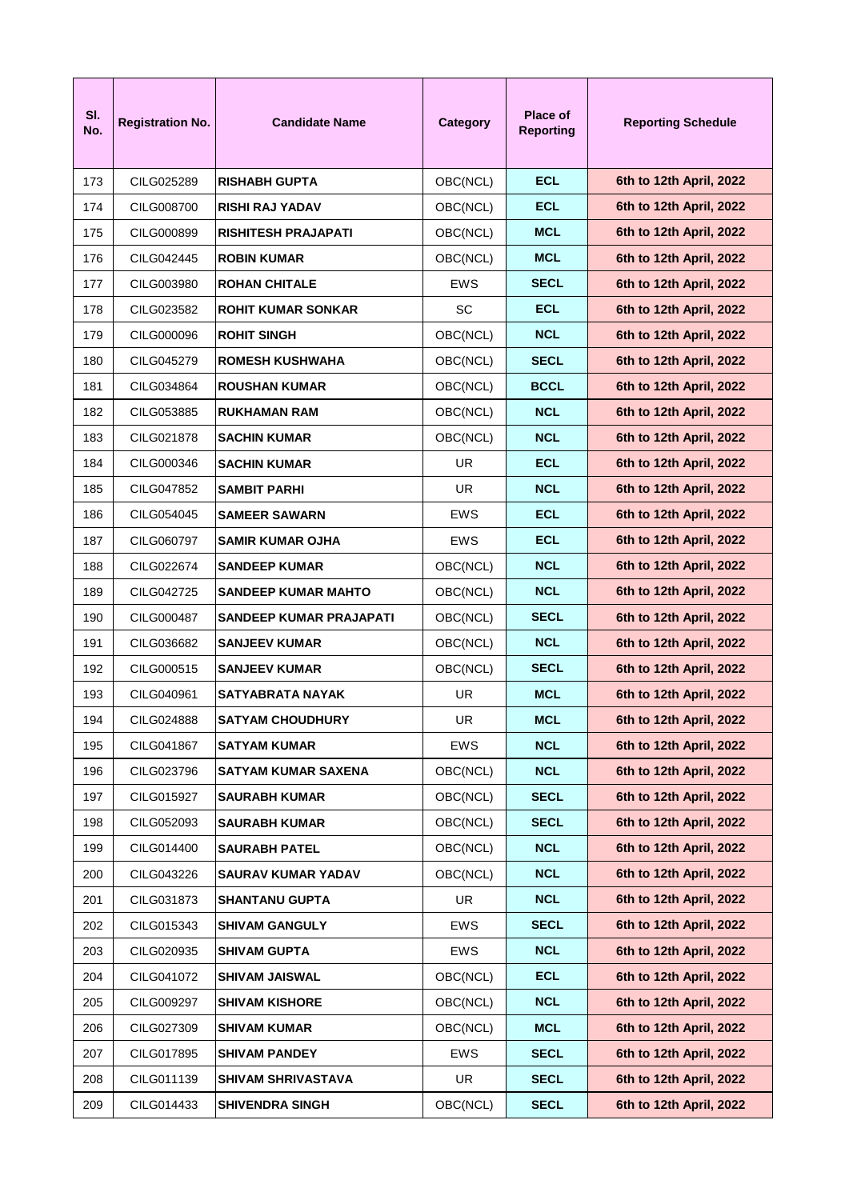| SI.<br>No. | <b>Registration No.</b> | <b>Candidate Name</b>      | Category   | <b>Place of</b><br><b>Reporting</b> | <b>Reporting Schedule</b> |
|------------|-------------------------|----------------------------|------------|-------------------------------------|---------------------------|
| 173        | CILG025289              | <b>RISHABH GUPTA</b>       | OBC(NCL)   | <b>ECL</b>                          | 6th to 12th April, 2022   |
| 174        | CILG008700              | <b>RISHI RAJ YADAV</b>     | OBC(NCL)   | <b>ECL</b>                          | 6th to 12th April, 2022   |
| 175        | CILG000899              | RISHITESH PRAJAPATI        | OBC(NCL)   | <b>MCL</b>                          | 6th to 12th April, 2022   |
| 176        | CILG042445              | <b>ROBIN KUMAR</b>         | OBC(NCL)   | <b>MCL</b>                          | 6th to 12th April, 2022   |
| 177        | CILG003980              | <b>ROHAN CHITALE</b>       | EWS        | <b>SECL</b>                         | 6th to 12th April, 2022   |
| 178        | CILG023582              | <b>ROHIT KUMAR SONKAR</b>  | <b>SC</b>  | <b>ECL</b>                          | 6th to 12th April, 2022   |
| 179        | CILG000096              | <b>ROHIT SINGH</b>         | OBC(NCL)   | <b>NCL</b>                          | 6th to 12th April, 2022   |
| 180        | CILG045279              | <b>ROMESH KUSHWAHA</b>     | OBC(NCL)   | <b>SECL</b>                         | 6th to 12th April, 2022   |
| 181        | CILG034864              | <b>ROUSHAN KUMAR</b>       | OBC(NCL)   | <b>BCCL</b>                         | 6th to 12th April, 2022   |
| 182        | CILG053885              | <b>RUKHAMAN RAM</b>        | OBC(NCL)   | <b>NCL</b>                          | 6th to 12th April, 2022   |
| 183        | CILG021878              | SACHIN KUMAR               | OBC(NCL)   | <b>NCL</b>                          | 6th to 12th April, 2022   |
| 184        | CILG000346              | SACHIN KUMAR               | UR         | ECL                                 | 6th to 12th April, 2022   |
| 185        | CILG047852              | SAMBIT PARHI               | UR         | <b>NCL</b>                          | 6th to 12th April, 2022   |
| 186        | CILG054045              | SAMEER SAWARN              | EWS        | <b>ECL</b>                          | 6th to 12th April, 2022   |
| 187        | CILG060797              | SAMIR KUMAR OJHA           | <b>EWS</b> | <b>ECL</b>                          | 6th to 12th April, 2022   |
| 188        | CILG022674              | SANDEEP KUMAR              | OBC(NCL)   | <b>NCL</b>                          | 6th to 12th April, 2022   |
| 189        | CILG042725              | SANDEEP KUMAR MAHTO        | OBC(NCL)   | <b>NCL</b>                          | 6th to 12th April, 2022   |
| 190        | CILG000487              | SANDEEP KUMAR PRAJAPATI    | OBC(NCL)   | <b>SECL</b>                         | 6th to 12th April, 2022   |
| 191        | CILG036682              | SANJEEV KUMAR              | OBC(NCL)   | <b>NCL</b>                          | 6th to 12th April, 2022   |
| 192        | CILG000515              | <b>SANJEEV KUMAR</b>       | OBC(NCL)   | <b>SECL</b>                         | 6th to 12th April, 2022   |
| 193        | CILG040961              | SATYABRATA NAYAK           | UR         | <b>MCL</b>                          | 6th to 12th April, 2022   |
| 194        | CILG024888              | <b>SATYAM CHOUDHURY</b>    | UR         | <b>MCL</b>                          | 6th to 12th April, 2022   |
| 195        | CILG041867              | <b>SATYAM KUMAR</b>        | <b>EWS</b> | <b>NCL</b>                          | 6th to 12th April, 2022   |
| 196        | CILG023796              | <b>SATYAM KUMAR SAXENA</b> | OBC(NCL)   | <b>NCL</b>                          | 6th to 12th April, 2022   |
| 197        | CILG015927              | <b>SAURABH KUMAR</b>       | OBC(NCL)   | <b>SECL</b>                         | 6th to 12th April, 2022   |
| 198        | CILG052093              | <b>SAURABH KUMAR</b>       | OBC(NCL)   | <b>SECL</b>                         | 6th to 12th April, 2022   |
| 199        | CILG014400              | <b>SAURABH PATEL</b>       | OBC(NCL)   | <b>NCL</b>                          | 6th to 12th April, 2022   |
| 200        | CILG043226              | <b>SAURAV KUMAR YADAV</b>  | OBC(NCL)   | <b>NCL</b>                          | 6th to 12th April, 2022   |
| 201        | CILG031873              | <b>SHANTANU GUPTA</b>      | UR         | <b>NCL</b>                          | 6th to 12th April, 2022   |
| 202        | CILG015343              | <b>SHIVAM GANGULY</b>      | <b>EWS</b> | <b>SECL</b>                         | 6th to 12th April, 2022   |
| 203        | CILG020935              | <b>SHIVAM GUPTA</b>        | <b>EWS</b> | <b>NCL</b>                          | 6th to 12th April, 2022   |
| 204        | CILG041072              | <b>SHIVAM JAISWAL</b>      | OBC(NCL)   | <b>ECL</b>                          | 6th to 12th April, 2022   |
| 205        | CILG009297              | <b>SHIVAM KISHORE</b>      | OBC(NCL)   | <b>NCL</b>                          | 6th to 12th April, 2022   |
| 206        | CILG027309              | <b>SHIVAM KUMAR</b>        | OBC(NCL)   | <b>MCL</b>                          | 6th to 12th April, 2022   |
| 207        | CILG017895              | <b>SHIVAM PANDEY</b>       | EWS        | <b>SECL</b>                         | 6th to 12th April, 2022   |
| 208        | CILG011139              | <b>SHIVAM SHRIVASTAVA</b>  | <b>UR</b>  | <b>SECL</b>                         | 6th to 12th April, 2022   |
| 209        | CILG014433              | <b>SHIVENDRA SINGH</b>     | OBC(NCL)   | <b>SECL</b>                         | 6th to 12th April, 2022   |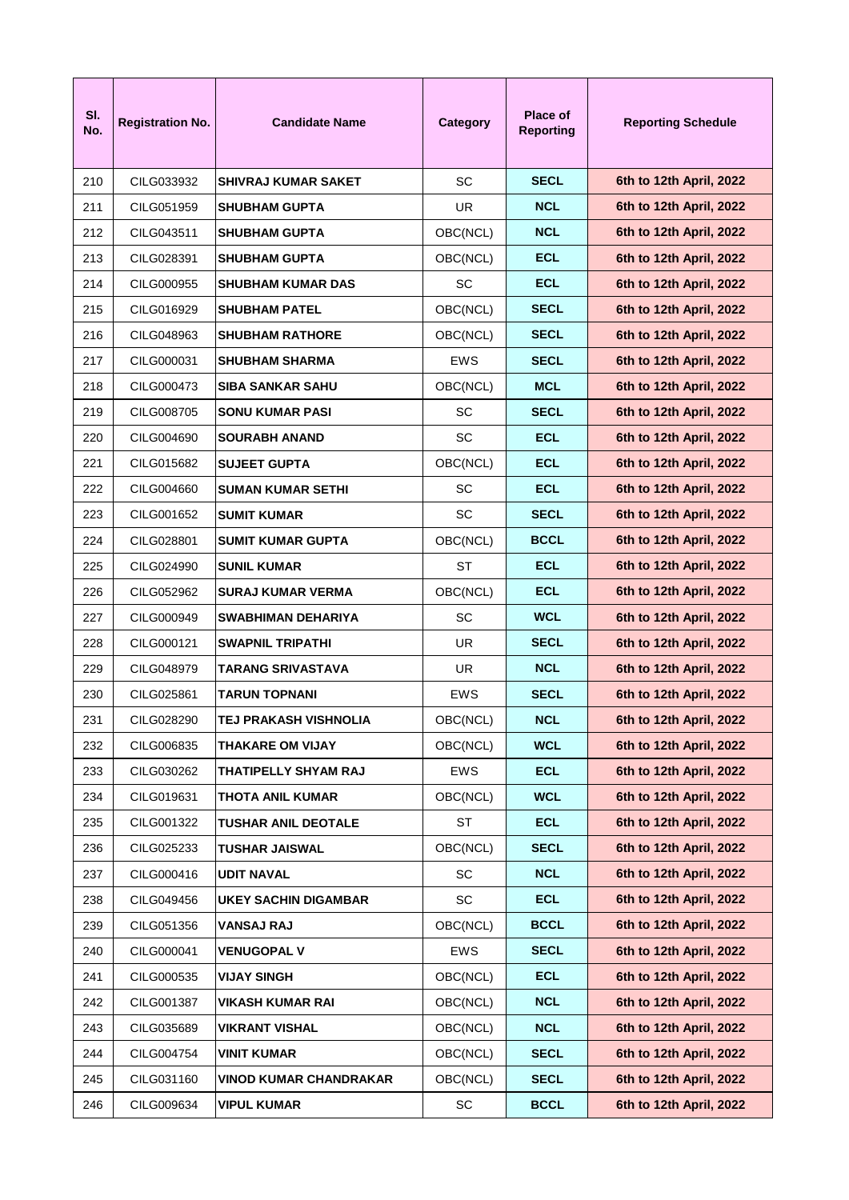| SI.<br>No. | <b>Registration No.</b> | <b>Candidate Name</b>         | Category  | <b>Place of</b><br><b>Reporting</b> | <b>Reporting Schedule</b> |
|------------|-------------------------|-------------------------------|-----------|-------------------------------------|---------------------------|
| 210        | CILG033932              | <b>SHIVRAJ KUMAR SAKET</b>    | <b>SC</b> | <b>SECL</b>                         | 6th to 12th April, 2022   |
| 211        | CILG051959              | <b>SHUBHAM GUPTA</b>          | UR.       | <b>NCL</b>                          | 6th to 12th April, 2022   |
| 212        | CILG043511              | <b>SHUBHAM GUPTA</b>          | OBC(NCL)  | <b>NCL</b>                          | 6th to 12th April, 2022   |
| 213        | CILG028391              | <b>SHUBHAM GUPTA</b>          | OBC(NCL)  | <b>ECL</b>                          | 6th to 12th April, 2022   |
| 214        | CILG000955              | <b>SHUBHAM KUMAR DAS</b>      | <b>SC</b> | <b>ECL</b>                          | 6th to 12th April, 2022   |
| 215        | CILG016929              | <b>SHUBHAM PATEL</b>          | OBC(NCL)  | <b>SECL</b>                         | 6th to 12th April, 2022   |
| 216        | CILG048963              | <b>SHUBHAM RATHORE</b>        | OBC(NCL)  | <b>SECL</b>                         | 6th to 12th April, 2022   |
| 217        | CILG000031              | <b>SHUBHAM SHARMA</b>         | EWS       | <b>SECL</b>                         | 6th to 12th April, 2022   |
| 218        | CILG000473              | <b>SIBA SANKAR SAHU</b>       | OBC(NCL)  | <b>MCL</b>                          | 6th to 12th April, 2022   |
| 219        | CILG008705              | <b>SONU KUMAR PASI</b>        | SC.       | <b>SECL</b>                         | 6th to 12th April, 2022   |
| 220        | CILG004690              | <b>SOURABH ANAND</b>          | <b>SC</b> | <b>ECL</b>                          | 6th to 12th April, 2022   |
| 221        | CILG015682              | <b>SUJEET GUPTA</b>           | OBC(NCL)  | <b>ECL</b>                          | 6th to 12th April, 2022   |
| 222        | CILG004660              | <b>SUMAN KUMAR SETHI</b>      | <b>SC</b> | <b>ECL</b>                          | 6th to 12th April, 2022   |
| 223        | CILG001652              | <b>SUMIT KUMAR</b>            | <b>SC</b> | <b>SECL</b>                         | 6th to 12th April, 2022   |
| 224        | CILG028801              | <b>SUMIT KUMAR GUPTA</b>      | OBC(NCL)  | <b>BCCL</b>                         | 6th to 12th April, 2022   |
| 225        | CILG024990              | <b>SUNIL KUMAR</b>            | ST        | <b>ECL</b>                          | 6th to 12th April, 2022   |
| 226        | CILG052962              | <b>SURAJ KUMAR VERMA</b>      | OBC(NCL)  | <b>ECL</b>                          | 6th to 12th April, 2022   |
| 227        | CILG000949              | <b>SWABHIMAN DEHARIYA</b>     | SC.       | <b>WCL</b>                          | 6th to 12th April, 2022   |
| 228        | CILG000121              | <b>SWAPNIL TRIPATHI</b>       | UR.       | <b>SECL</b>                         | 6th to 12th April, 2022   |
| 229        | CILG048979              | <b>TARANG SRIVASTAVA</b>      | UR.       | <b>NCL</b>                          | 6th to 12th April, 2022   |
| 230        | CILG025861              | TARUN TOPNANI                 | EWS       | <b>SECL</b>                         | 6th to 12th April, 2022   |
| 231        | CILG028290              | TEJ PRAKASH VISHNOLIA         | OBC(NCL)  | <b>NCL</b>                          | 6th to 12th April, 2022   |
| 232        | CILG006835              | THAKARE OM VIJAY              | OBC(NCL)  | <b>WCL</b>                          | 6th to 12th April, 2022   |
| 233        | CILG030262              | THATIPELLY SHYAM RAJ          | EWS       | <b>ECL</b>                          | 6th to 12th April, 2022   |
| 234        | CILG019631              | <b>THOTA ANIL KUMAR</b>       | OBC(NCL)  | <b>WCL</b>                          | 6th to 12th April, 2022   |
| 235        | CILG001322              | <b>TUSHAR ANIL DEOTALE</b>    | ST        | <b>ECL</b>                          | 6th to 12th April, 2022   |
| 236        | CILG025233              | <b>TUSHAR JAISWAL</b>         | OBC(NCL)  | <b>SECL</b>                         | 6th to 12th April, 2022   |
| 237        | CILG000416              | <b>UDIT NAVAL</b>             | <b>SC</b> | <b>NCL</b>                          | 6th to 12th April, 2022   |
| 238        | CILG049456              | <b>UKEY SACHIN DIGAMBAR</b>   | <b>SC</b> | <b>ECL</b>                          | 6th to 12th April, 2022   |
| 239        | CILG051356              | <b>VANSAJ RAJ</b>             | OBC(NCL)  | <b>BCCL</b>                         | 6th to 12th April, 2022   |
| 240        | CILG000041              | <b>VENUGOPAL V</b>            | EWS       | <b>SECL</b>                         | 6th to 12th April, 2022   |
| 241        | CILG000535              | <b>VIJAY SINGH</b>            | OBC(NCL)  | <b>ECL</b>                          | 6th to 12th April, 2022   |
| 242        | CILG001387              | <b>VIKASH KUMAR RAI</b>       | OBC(NCL)  | <b>NCL</b>                          | 6th to 12th April, 2022   |
| 243        | CILG035689              | <b>VIKRANT VISHAL</b>         | OBC(NCL)  | <b>NCL</b>                          | 6th to 12th April, 2022   |
| 244        | CILG004754              | <b>VINIT KUMAR</b>            | OBC(NCL)  | <b>SECL</b>                         | 6th to 12th April, 2022   |
| 245        | CILG031160              | <b>VINOD KUMAR CHANDRAKAR</b> | OBC(NCL)  | <b>SECL</b>                         | 6th to 12th April, 2022   |
| 246        | CILG009634              | <b>VIPUL KUMAR</b>            | SC.       | <b>BCCL</b>                         | 6th to 12th April, 2022   |